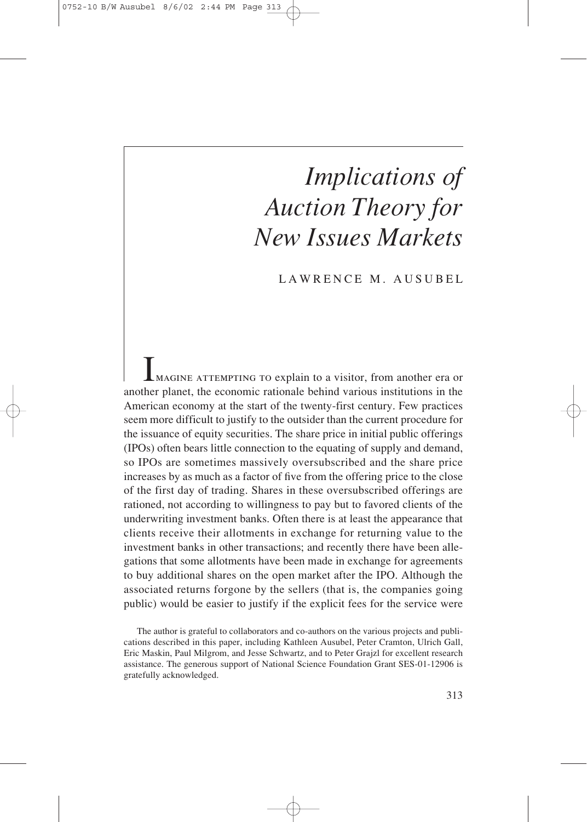# *Implications of Auction Theory for New Issues Markets*

LAWRENCE M. AUSUBEL

**IMAGINE ATTEMPTING TO explain to a visitor, from another era or** another planet, the economic rationale behind various institutions in the American economy at the start of the twenty-first century. Few practices seem more difficult to justify to the outsider than the current procedure for the issuance of equity securities. The share price in initial public offerings (IPOs) often bears little connection to the equating of supply and demand, so IPOs are sometimes massively oversubscribed and the share price increases by as much as a factor of five from the offering price to the close of the first day of trading. Shares in these oversubscribed offerings are rationed, not according to willingness to pay but to favored clients of the underwriting investment banks. Often there is at least the appearance that clients receive their allotments in exchange for returning value to the investment banks in other transactions; and recently there have been allegations that some allotments have been made in exchange for agreements to buy additional shares on the open market after the IPO. Although the associated returns forgone by the sellers (that is, the companies going public) would be easier to justify if the explicit fees for the service were

The author is grateful to collaborators and co-authors on the various projects and publications described in this paper, including Kathleen Ausubel, Peter Cramton, Ulrich Gall, Eric Maskin, Paul Milgrom, and Jesse Schwartz, and to Peter Grajzl for excellent research assistance. The generous support of National Science Foundation Grant SES-01-12906 is gratefully acknowledged.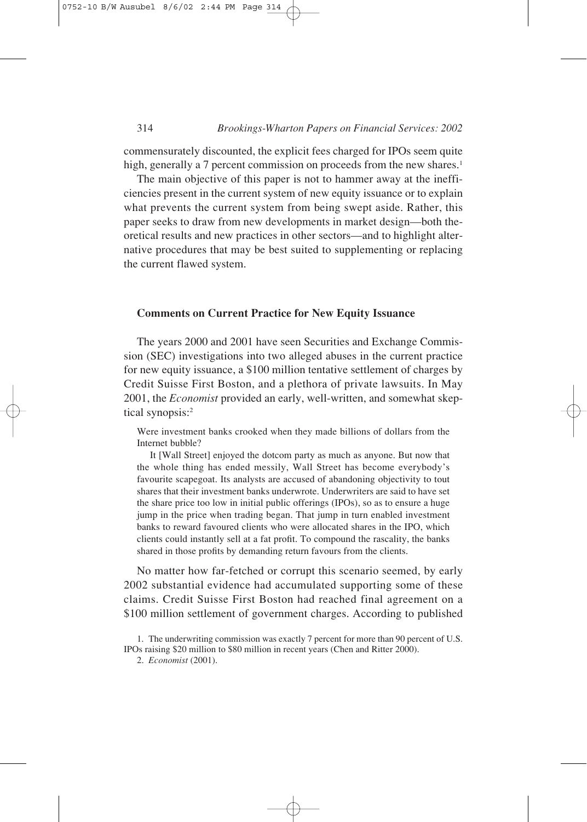commensurately discounted, the explicit fees charged for IPOs seem quite high, generally a 7 percent commission on proceeds from the new shares.<sup>1</sup>

The main objective of this paper is not to hammer away at the inefficiencies present in the current system of new equity issuance or to explain what prevents the current system from being swept aside. Rather, this paper seeks to draw from new developments in market design—both theoretical results and new practices in other sectors—and to highlight alternative procedures that may be best suited to supplementing or replacing the current flawed system.

#### **Comments on Current Practice for New Equity Issuance**

The years 2000 and 2001 have seen Securities and Exchange Commission (SEC) investigations into two alleged abuses in the current practice for new equity issuance, a \$100 million tentative settlement of charges by Credit Suisse First Boston, and a plethora of private lawsuits. In May 2001, the *Economist* provided an early, well-written, and somewhat skeptical synopsis:2

Were investment banks crooked when they made billions of dollars from the Internet bubble?

It [Wall Street] enjoyed the dotcom party as much as anyone. But now that the whole thing has ended messily, Wall Street has become everybody's favourite scapegoat. Its analysts are accused of abandoning objectivity to tout shares that their investment banks underwrote. Underwriters are said to have set the share price too low in initial public offerings (IPOs), so as to ensure a huge jump in the price when trading began. That jump in turn enabled investment banks to reward favoured clients who were allocated shares in the IPO, which clients could instantly sell at a fat profit. To compound the rascality, the banks shared in those profits by demanding return favours from the clients.

No matter how far-fetched or corrupt this scenario seemed, by early 2002 substantial evidence had accumulated supporting some of these claims. Credit Suisse First Boston had reached final agreement on a \$100 million settlement of government charges. According to published

1. The underwriting commission was exactly 7 percent for more than 90 percent of U.S. IPOs raising \$20 million to \$80 million in recent years (Chen and Ritter 2000).

2. *Economist* (2001).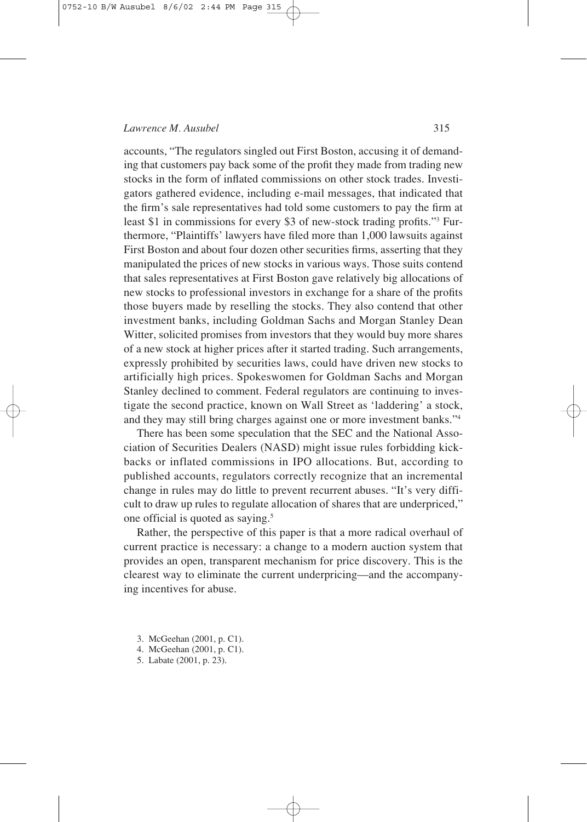#### *Lawrence M. Ausubel* 315

accounts, "The regulators singled out First Boston, accusing it of demanding that customers pay back some of the profit they made from trading new stocks in the form of inflated commissions on other stock trades. Investigators gathered evidence, including e-mail messages, that indicated that the firm's sale representatives had told some customers to pay the firm at least \$1 in commissions for every \$3 of new-stock trading profits."3 Furthermore, "Plaintiffs' lawyers have filed more than 1,000 lawsuits against First Boston and about four dozen other securities firms, asserting that they manipulated the prices of new stocks in various ways. Those suits contend that sales representatives at First Boston gave relatively big allocations of new stocks to professional investors in exchange for a share of the profits those buyers made by reselling the stocks. They also contend that other investment banks, including Goldman Sachs and Morgan Stanley Dean Witter, solicited promises from investors that they would buy more shares of a new stock at higher prices after it started trading. Such arrangements, expressly prohibited by securities laws, could have driven new stocks to artificially high prices. Spokeswomen for Goldman Sachs and Morgan Stanley declined to comment. Federal regulators are continuing to investigate the second practice, known on Wall Street as 'laddering' a stock, and they may still bring charges against one or more investment banks."4

There has been some speculation that the SEC and the National Association of Securities Dealers (NASD) might issue rules forbidding kickbacks or inflated commissions in IPO allocations. But, according to published accounts, regulators correctly recognize that an incremental change in rules may do little to prevent recurrent abuses. "It's very difficult to draw up rules to regulate allocation of shares that are underpriced," one official is quoted as saying.5

Rather, the perspective of this paper is that a more radical overhaul of current practice is necessary: a change to a modern auction system that provides an open, transparent mechanism for price discovery. This is the clearest way to eliminate the current underpricing—and the accompanying incentives for abuse.

- 3. McGeehan (2001, p. C1).
- 4. McGeehan (2001, p. C1).
- 5. Labate (2001, p. 23).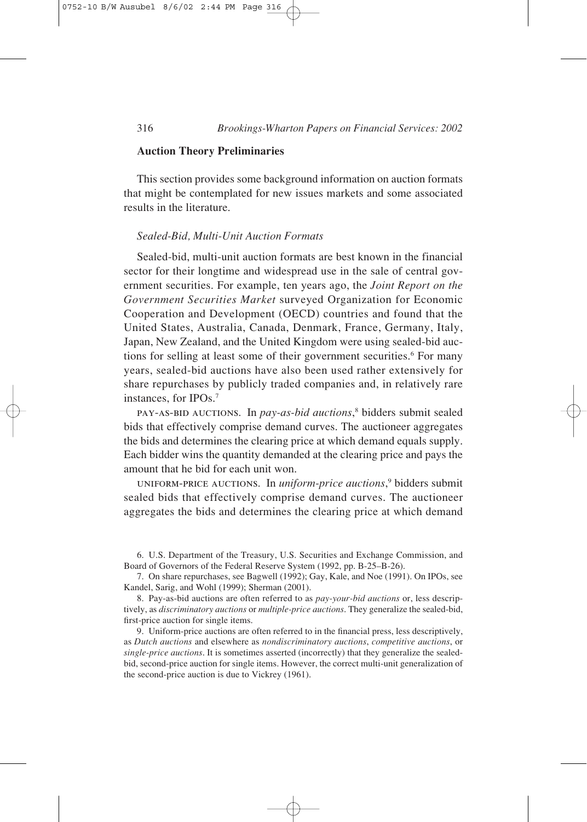#### **Auction Theory Preliminaries**

This section provides some background information on auction formats that might be contemplated for new issues markets and some associated results in the literature.

#### *Sealed-Bid, Multi-Unit Auction Formats*

Sealed-bid, multi-unit auction formats are best known in the financial sector for their longtime and widespread use in the sale of central government securities. For example, ten years ago, the *Joint Report on the Government Securities Market* surveyed Organization for Economic Cooperation and Development (OECD) countries and found that the United States, Australia, Canada, Denmark, France, Germany, Italy, Japan, New Zealand, and the United Kingdom were using sealed-bid auctions for selling at least some of their government securities.<sup>6</sup> For many years, sealed-bid auctions have also been used rather extensively for share repurchases by publicly traded companies and, in relatively rare instances, for IPOs.7

pay-as-bid auctions. In *pay-as-bid auctions*, <sup>8</sup> bidders submit sealed bids that effectively comprise demand curves. The auctioneer aggregates the bids and determines the clearing price at which demand equals supply. Each bidder wins the quantity demanded at the clearing price and pays the amount that he bid for each unit won.

uniform-price auctions. In *uniform-price auctions*, <sup>9</sup> bidders submit sealed bids that effectively comprise demand curves. The auctioneer aggregates the bids and determines the clearing price at which demand

6. U.S. Department of the Treasury, U.S. Securities and Exchange Commission, and Board of Governors of the Federal Reserve System (1992, pp. B-25–B-26).

7. On share repurchases, see Bagwell (1992); Gay, Kale, and Noe (1991). On IPOs, see Kandel, Sarig, and Wohl (1999); Sherman (2001).

8. Pay-as-bid auctions are often referred to as *pay-your-bid auctions* or, less descriptively, as *discriminatory auctions* or *multiple-price auctions*. They generalize the sealed-bid, first-price auction for single items.

9. Uniform-price auctions are often referred to in the financial press, less descriptively, as *Dutch auctions* and elsewhere as *nondiscriminatory auctions*, *competitive auctions*, or *single-price auctions*. It is sometimes asserted (incorrectly) that they generalize the sealedbid, second-price auction for single items. However, the correct multi-unit generalization of the second-price auction is due to Vickrey (1961).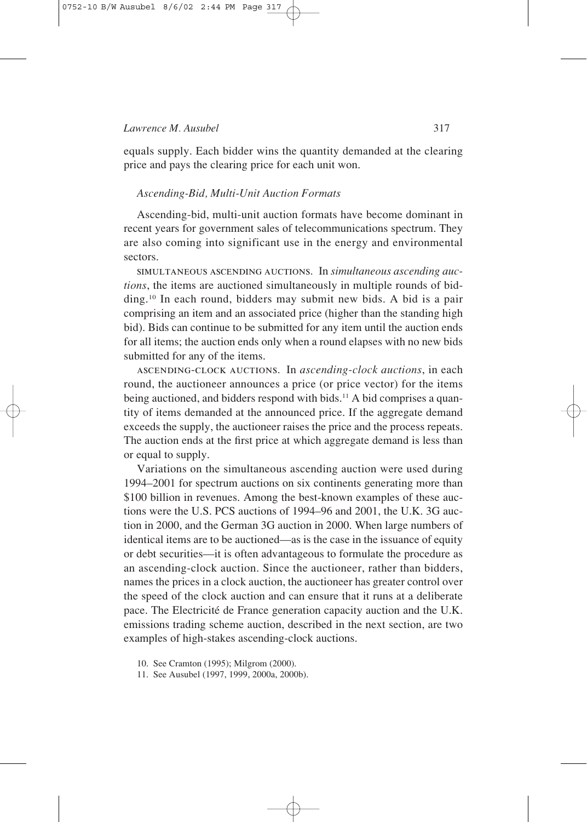equals supply. Each bidder wins the quantity demanded at the clearing price and pays the clearing price for each unit won.

#### *Ascending-Bid, Multi-Unit Auction Formats*

Ascending-bid, multi-unit auction formats have become dominant in recent years for government sales of telecommunications spectrum. They are also coming into significant use in the energy and environmental sectors.

simultaneous ascending auctions. In *simultaneous ascending auctions*, the items are auctioned simultaneously in multiple rounds of bidding.10 In each round, bidders may submit new bids. A bid is a pair comprising an item and an associated price (higher than the standing high bid). Bids can continue to be submitted for any item until the auction ends for all items; the auction ends only when a round elapses with no new bids submitted for any of the items.

ascending-clock auctions. In *ascending-clock auctions*, in each round, the auctioneer announces a price (or price vector) for the items being auctioned, and bidders respond with bids.<sup>11</sup> A bid comprises a quantity of items demanded at the announced price. If the aggregate demand exceeds the supply, the auctioneer raises the price and the process repeats. The auction ends at the first price at which aggregate demand is less than or equal to supply.

Variations on the simultaneous ascending auction were used during 1994–2001 for spectrum auctions on six continents generating more than \$100 billion in revenues. Among the best-known examples of these auctions were the U.S. PCS auctions of 1994–96 and 2001, the U.K. 3G auction in 2000, and the German 3G auction in 2000. When large numbers of identical items are to be auctioned—as is the case in the issuance of equity or debt securities—it is often advantageous to formulate the procedure as an ascending-clock auction. Since the auctioneer, rather than bidders, names the prices in a clock auction, the auctioneer has greater control over the speed of the clock auction and can ensure that it runs at a deliberate pace. The Electricité de France generation capacity auction and the U.K. emissions trading scheme auction, described in the next section, are two examples of high-stakes ascending-clock auctions.

- 10. See Cramton (1995); Milgrom (2000).
- 11. See Ausubel (1997, 1999, 2000a, 2000b).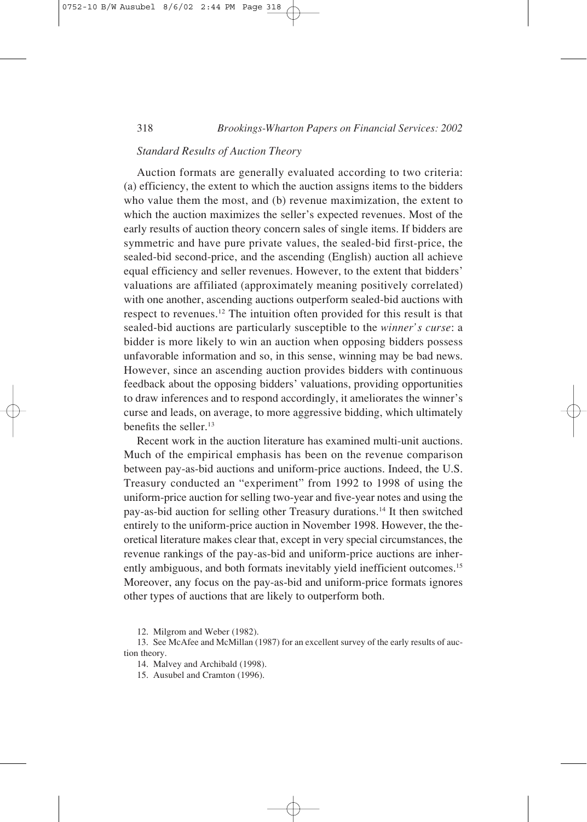## *Standard Results of Auction Theory*

Auction formats are generally evaluated according to two criteria: (a) efficiency, the extent to which the auction assigns items to the bidders who value them the most, and (b) revenue maximization, the extent to which the auction maximizes the seller's expected revenues. Most of the early results of auction theory concern sales of single items. If bidders are symmetric and have pure private values, the sealed-bid first-price, the sealed-bid second-price, and the ascending (English) auction all achieve equal efficiency and seller revenues. However, to the extent that bidders' valuations are affiliated (approximately meaning positively correlated) with one another, ascending auctions outperform sealed-bid auctions with respect to revenues.12 The intuition often provided for this result is that sealed-bid auctions are particularly susceptible to the *winner's curse*: a bidder is more likely to win an auction when opposing bidders possess unfavorable information and so, in this sense, winning may be bad news. However, since an ascending auction provides bidders with continuous feedback about the opposing bidders' valuations, providing opportunities to draw inferences and to respond accordingly, it ameliorates the winner's curse and leads, on average, to more aggressive bidding, which ultimately benefits the seller.<sup>13</sup>

Recent work in the auction literature has examined multi-unit auctions. Much of the empirical emphasis has been on the revenue comparison between pay-as-bid auctions and uniform-price auctions. Indeed, the U.S. Treasury conducted an "experiment" from 1992 to 1998 of using the uniform-price auction for selling two-year and five-year notes and using the pay-as-bid auction for selling other Treasury durations.14 It then switched entirely to the uniform-price auction in November 1998. However, the theoretical literature makes clear that, except in very special circumstances, the revenue rankings of the pay-as-bid and uniform-price auctions are inherently ambiguous, and both formats inevitably yield inefficient outcomes.<sup>15</sup> Moreover, any focus on the pay-as-bid and uniform-price formats ignores other types of auctions that are likely to outperform both.

12. Milgrom and Weber (1982).

13. See McAfee and McMillan (1987) for an excellent survey of the early results of auction theory.

14. Malvey and Archibald (1998).

15. Ausubel and Cramton (1996).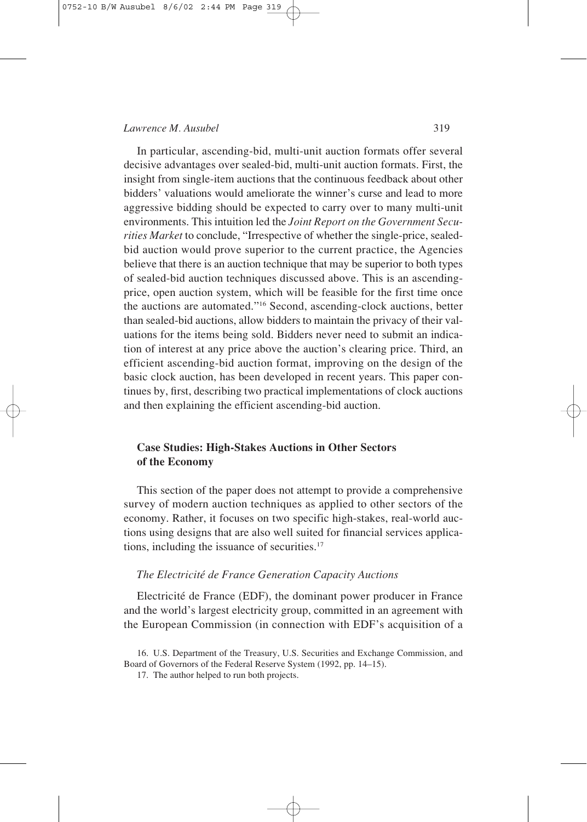#### *Lawrence M. Ausubel* 319

In particular, ascending-bid, multi-unit auction formats offer several decisive advantages over sealed-bid, multi-unit auction formats. First, the insight from single-item auctions that the continuous feedback about other bidders' valuations would ameliorate the winner's curse and lead to more aggressive bidding should be expected to carry over to many multi-unit environments. This intuition led the *Joint Report on the Government Securities Market* to conclude, "Irrespective of whether the single-price, sealedbid auction would prove superior to the current practice, the Agencies believe that there is an auction technique that may be superior to both types of sealed-bid auction techniques discussed above. This is an ascendingprice, open auction system, which will be feasible for the first time once the auctions are automated."16 Second, ascending-clock auctions, better than sealed-bid auctions, allow bidders to maintain the privacy of their valuations for the items being sold. Bidders never need to submit an indication of interest at any price above the auction's clearing price. Third, an efficient ascending-bid auction format, improving on the design of the basic clock auction, has been developed in recent years. This paper continues by, first, describing two practical implementations of clock auctions and then explaining the efficient ascending-bid auction.

# **Case Studies: High-Stakes Auctions in Other Sectors of the Economy**

This section of the paper does not attempt to provide a comprehensive survey of modern auction techniques as applied to other sectors of the economy. Rather, it focuses on two specific high-stakes, real-world auctions using designs that are also well suited for financial services applications, including the issuance of securities.17

#### *The Electricité de France Generation Capacity Auctions*

Electricité de France (EDF), the dominant power producer in France and the world's largest electricity group, committed in an agreement with the European Commission (in connection with EDF's acquisition of a

17. The author helped to run both projects.

<sup>16.</sup> U.S. Department of the Treasury, U.S. Securities and Exchange Commission, and Board of Governors of the Federal Reserve System (1992, pp. 14–15).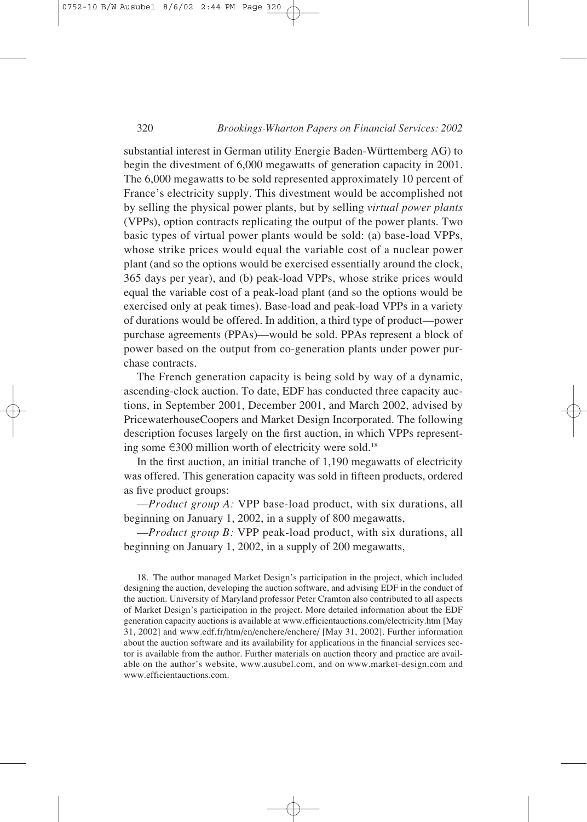substantial interest in German utility Energie Baden-Württemberg AG) to begin the divestment of 6,000 megawatts of generation capacity in 2001. The 6,000 megawatts to be sold represented approximately 10 percent of France's electricity supply. This divestment would be accomplished not by selling the physical power plants, but by selling *virtual power plants* (VPPs), option contracts replicating the output of the power plants. Two basic types of virtual power plants would be sold: (a) base-load VPPs, whose strike prices would equal the variable cost of a nuclear power plant (and so the options would be exercised essentially around the clock, 365 days per year), and (b) peak-load VPPs, whose strike prices would equal the variable cost of a peak-load plant (and so the options would be exercised only at peak times). Base-load and peak-load VPPs in a variety of durations would be offered. In addition, a third type of product—power purchase agreements (PPAs)—would be sold. PPAs represent a block of power based on the output from co-generation plants under power purchase contracts.

The French generation capacity is being sold by way of a dynamic, ascending-clock auction. To date, EDF has conducted three capacity auctions, in September 2001, December 2001, and March 2002, advised by PricewaterhouseCoopers and Market Design Incorporated. The following description focuses largely on the first auction, in which VPPs representing some  $\epsilon$ 300 million worth of electricity were sold.<sup>18</sup>

In the first auction, an initial tranche of 1,190 megawatts of electricity was offered. This generation capacity was sold in fifteen products, ordered as five product groups:

—*Product group A:* VPP base-load product, with six durations, all beginning on January 1, 2002, in a supply of 800 megawatts,

—*Product group B:* VPP peak-load product, with six durations, all beginning on January 1, 2002, in a supply of 200 megawatts,

18. The author managed Market Design's participation in the project, which included designing the auction, developing the auction software, and advising EDF in the conduct of the auction. University of Maryland professor Peter Cramton also contributed to all aspects of Market Design's participation in the project. More detailed information about the EDF generation capacity auctions is available at www.efficientauctions.com/electricity.htm [May 31, 2002] and www.edf.fr/htm/en/enchere/enchere/ [May 31, 2002]. Further information about the auction software and its availability for applications in the financial services sector is available from the author. Further materials on auction theory and practice are available on the author's website, www.ausubel.com, and on www.market-design.com and www.efficientauctions.com.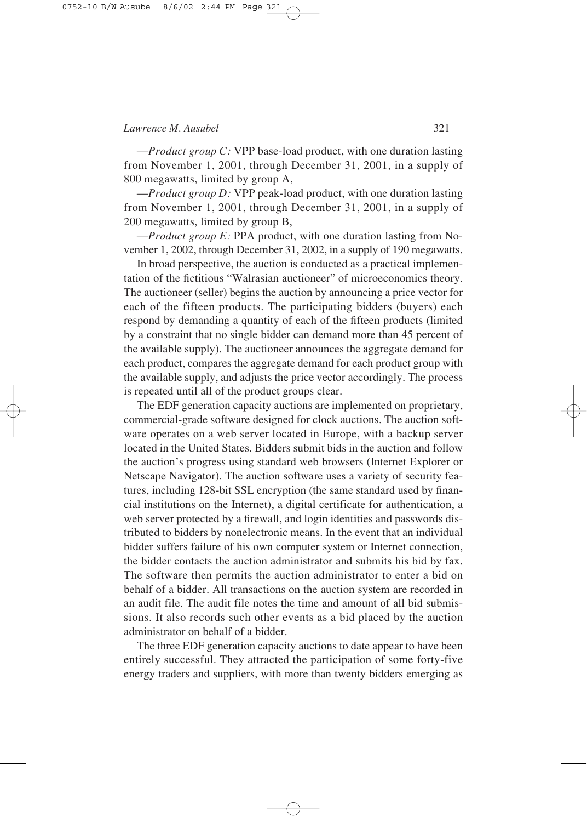#### *Lawrence M. Ausubel* 321

—*Product group C:* VPP base-load product, with one duration lasting from November 1, 2001, through December 31, 2001, in a supply of 800 megawatts, limited by group A,

—*Product group D:* VPP peak-load product, with one duration lasting from November 1, 2001, through December 31, 2001, in a supply of 200 megawatts, limited by group B,

—*Product group E:* PPA product, with one duration lasting from November 1, 2002, through December 31, 2002, in a supply of 190 megawatts.

In broad perspective, the auction is conducted as a practical implementation of the fictitious "Walrasian auctioneer" of microeconomics theory. The auctioneer (seller) begins the auction by announcing a price vector for each of the fifteen products. The participating bidders (buyers) each respond by demanding a quantity of each of the fifteen products (limited by a constraint that no single bidder can demand more than 45 percent of the available supply). The auctioneer announces the aggregate demand for each product, compares the aggregate demand for each product group with the available supply, and adjusts the price vector accordingly. The process is repeated until all of the product groups clear.

The EDF generation capacity auctions are implemented on proprietary, commercial-grade software designed for clock auctions. The auction software operates on a web server located in Europe, with a backup server located in the United States. Bidders submit bids in the auction and follow the auction's progress using standard web browsers (Internet Explorer or Netscape Navigator). The auction software uses a variety of security features, including 128-bit SSL encryption (the same standard used by financial institutions on the Internet), a digital certificate for authentication, a web server protected by a firewall, and login identities and passwords distributed to bidders by nonelectronic means. In the event that an individual bidder suffers failure of his own computer system or Internet connection, the bidder contacts the auction administrator and submits his bid by fax. The software then permits the auction administrator to enter a bid on behalf of a bidder. All transactions on the auction system are recorded in an audit file. The audit file notes the time and amount of all bid submissions. It also records such other events as a bid placed by the auction administrator on behalf of a bidder.

The three EDF generation capacity auctions to date appear to have been entirely successful. They attracted the participation of some forty-five energy traders and suppliers, with more than twenty bidders emerging as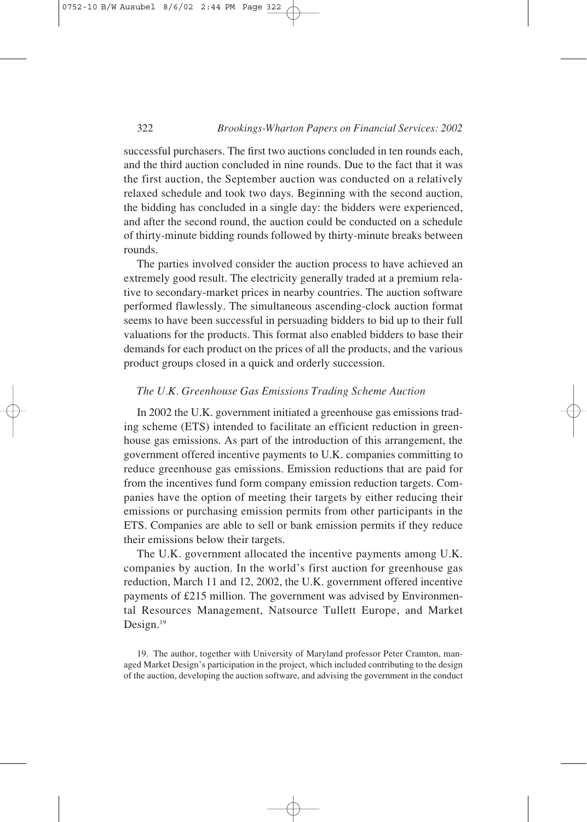successful purchasers. The first two auctions concluded in ten rounds each, and the third auction concluded in nine rounds. Due to the fact that it was the first auction, the September auction was conducted on a relatively relaxed schedule and took two days. Beginning with the second auction, the bidding has concluded in a single day: the bidders were experienced, and after the second round, the auction could be conducted on a schedule of thirty-minute bidding rounds followed by thirty-minute breaks between rounds.

The parties involved consider the auction process to have achieved an extremely good result. The electricity generally traded at a premium relative to secondary-market prices in nearby countries. The auction software performed flawlessly. The simultaneous ascending-clock auction format seems to have been successful in persuading bidders to bid up to their full valuations for the products. This format also enabled bidders to base their demands for each product on the prices of all the products, and the various product groups closed in a quick and orderly succession.

#### *The U.K. Greenhouse Gas Emissions Trading Scheme Auction*

In 2002 the U.K. government initiated a greenhouse gas emissions trading scheme (ETS) intended to facilitate an efficient reduction in greenhouse gas emissions. As part of the introduction of this arrangement, the government offered incentive payments to U.K. companies committing to reduce greenhouse gas emissions. Emission reductions that are paid for from the incentives fund form company emission reduction targets. Companies have the option of meeting their targets by either reducing their emissions or purchasing emission permits from other participants in the ETS. Companies are able to sell or bank emission permits if they reduce their emissions below their targets.

The U.K. government allocated the incentive payments among U.K. companies by auction. In the world's first auction for greenhouse gas reduction, March 11 and 12, 2002, the U.K. government offered incentive payments of £215 million. The government was advised by Environmental Resources Management, Natsource Tullett Europe, and Market Design.<sup>19</sup>

19. The author, together with University of Maryland professor Peter Cramton, managed Market Design's participation in the project, which included contributing to the design of the auction, developing the auction software, and advising the government in the conduct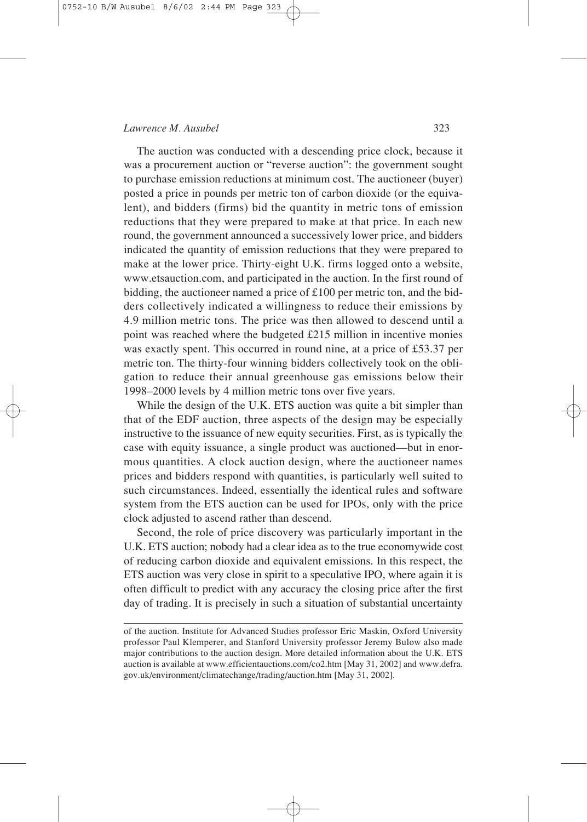#### *Lawrence M. Ausubel* 323

The auction was conducted with a descending price clock, because it was a procurement auction or "reverse auction": the government sought to purchase emission reductions at minimum cost. The auctioneer (buyer) posted a price in pounds per metric ton of carbon dioxide (or the equivalent), and bidders (firms) bid the quantity in metric tons of emission reductions that they were prepared to make at that price. In each new round, the government announced a successively lower price, and bidders indicated the quantity of emission reductions that they were prepared to make at the lower price. Thirty-eight U.K. firms logged onto a website, www.etsauction.com, and participated in the auction. In the first round of bidding, the auctioneer named a price of £100 per metric ton, and the bidders collectively indicated a willingness to reduce their emissions by 4.9 million metric tons. The price was then allowed to descend until a point was reached where the budgeted £215 million in incentive monies was exactly spent. This occurred in round nine, at a price of £53.37 per metric ton. The thirty-four winning bidders collectively took on the obligation to reduce their annual greenhouse gas emissions below their 1998–2000 levels by 4 million metric tons over five years.

While the design of the U.K. ETS auction was quite a bit simpler than that of the EDF auction, three aspects of the design may be especially instructive to the issuance of new equity securities. First, as is typically the case with equity issuance, a single product was auctioned—but in enormous quantities. A clock auction design, where the auctioneer names prices and bidders respond with quantities, is particularly well suited to such circumstances. Indeed, essentially the identical rules and software system from the ETS auction can be used for IPOs, only with the price clock adjusted to ascend rather than descend.

Second, the role of price discovery was particularly important in the U.K. ETS auction; nobody had a clear idea as to the true economywide cost of reducing carbon dioxide and equivalent emissions. In this respect, the ETS auction was very close in spirit to a speculative IPO, where again it is often difficult to predict with any accuracy the closing price after the first day of trading. It is precisely in such a situation of substantial uncertainty

of the auction. Institute for Advanced Studies professor Eric Maskin, Oxford University professor Paul Klemperer, and Stanford University professor Jeremy Bulow also made major contributions to the auction design. More detailed information about the U.K. ETS auction is available at www.efficientauctions.com/co2.htm [May 31, 2002] and www.defra. gov.uk/environment/climatechange/trading/auction.htm [May 31, 2002].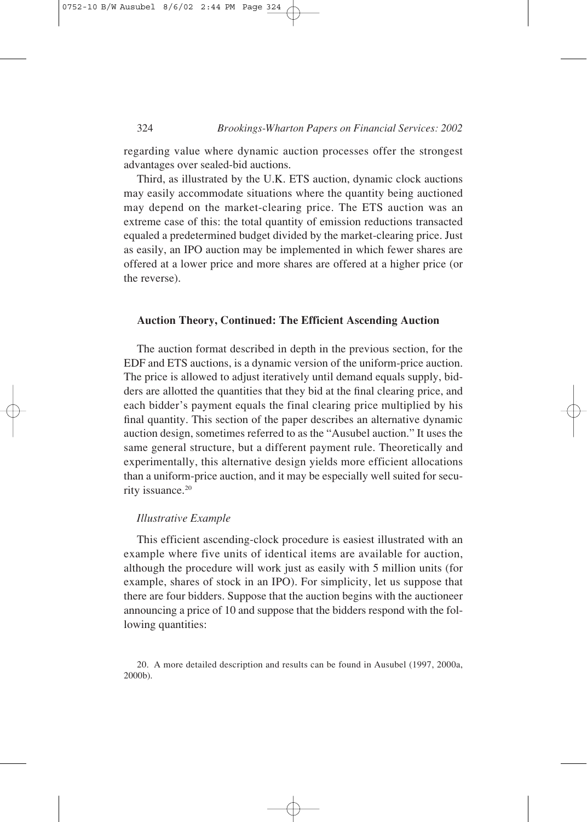regarding value where dynamic auction processes offer the strongest advantages over sealed-bid auctions.

Third, as illustrated by the U.K. ETS auction, dynamic clock auctions may easily accommodate situations where the quantity being auctioned may depend on the market-clearing price. The ETS auction was an extreme case of this: the total quantity of emission reductions transacted equaled a predetermined budget divided by the market-clearing price. Just as easily, an IPO auction may be implemented in which fewer shares are offered at a lower price and more shares are offered at a higher price (or the reverse).

# **Auction Theory, Continued: The Efficient Ascending Auction**

The auction format described in depth in the previous section, for the EDF and ETS auctions, is a dynamic version of the uniform-price auction. The price is allowed to adjust iteratively until demand equals supply, bidders are allotted the quantities that they bid at the final clearing price, and each bidder's payment equals the final clearing price multiplied by his final quantity. This section of the paper describes an alternative dynamic auction design, sometimes referred to as the "Ausubel auction." It uses the same general structure, but a different payment rule. Theoretically and experimentally, this alternative design yields more efficient allocations than a uniform-price auction, and it may be especially well suited for security issuance.<sup>20</sup>

#### *Illustrative Example*

This efficient ascending-clock procedure is easiest illustrated with an example where five units of identical items are available for auction, although the procedure will work just as easily with 5 million units (for example, shares of stock in an IPO). For simplicity, let us suppose that there are four bidders. Suppose that the auction begins with the auctioneer announcing a price of 10 and suppose that the bidders respond with the following quantities:

<sup>20.</sup> A more detailed description and results can be found in Ausubel (1997, 2000a, 2000b).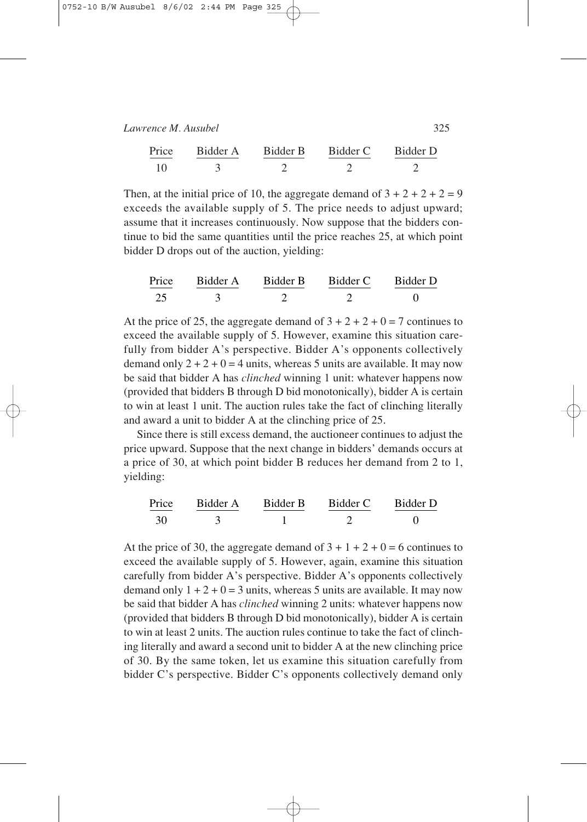| Price | Bidder A | Bidder B | Bidder C | Bidder D |
|-------|----------|----------|----------|----------|
|       |          |          |          |          |

Then, at the initial price of 10, the aggregate demand of  $3 + 2 + 2 + 2 = 9$ exceeds the available supply of 5. The price needs to adjust upward; assume that it increases continuously. Now suppose that the bidders continue to bid the same quantities until the price reaches 25, at which point bidder D drops out of the auction, yielding:

| Price | Ridder A | Bidder B | Bidder C | Bidder D |
|-------|----------|----------|----------|----------|
|       |          |          |          |          |

At the price of 25, the aggregate demand of  $3 + 2 + 2 + 0 = 7$  continues to exceed the available supply of 5. However, examine this situation carefully from bidder A's perspective. Bidder A's opponents collectively demand only  $2 + 2 + 0 = 4$  units, whereas 5 units are available. It may now be said that bidder A has *clinched* winning 1 unit: whatever happens now (provided that bidders B through D bid monotonically), bidder A is certain to win at least 1 unit. The auction rules take the fact of clinching literally and award a unit to bidder A at the clinching price of 25.

Since there is still excess demand, the auctioneer continues to adjust the price upward. Suppose that the next change in bidders' demands occurs at a price of 30, at which point bidder B reduces her demand from 2 to 1, yielding:

Price Bidder A Bidder B Bidder C Bidder D 30 3 1 2 0

At the price of 30, the aggregate demand of  $3 + 1 + 2 + 0 = 6$  continues to exceed the available supply of 5. However, again, examine this situation carefully from bidder A's perspective. Bidder A's opponents collectively demand only  $1 + 2 + 0 = 3$  units, whereas 5 units are available. It may now be said that bidder A has *clinched* winning 2 units: whatever happens now (provided that bidders B through D bid monotonically), bidder A is certain to win at least 2 units. The auction rules continue to take the fact of clinching literally and award a second unit to bidder A at the new clinching price of 30. By the same token, let us examine this situation carefully from bidder C's perspective. Bidder C's opponents collectively demand only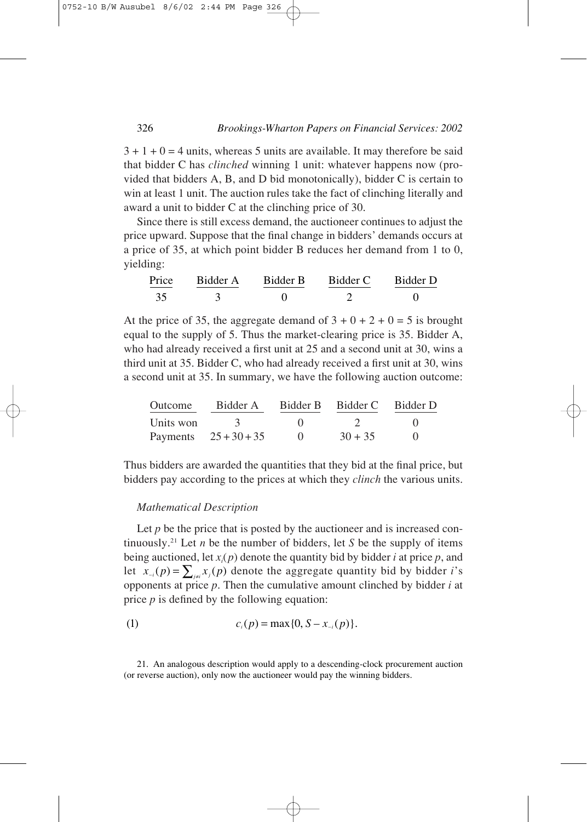$3 + 1 + 0 = 4$  units, whereas 5 units are available. It may therefore be said that bidder C has *clinched* winning 1 unit: whatever happens now (provided that bidders A, B, and D bid monotonically), bidder C is certain to win at least 1 unit. The auction rules take the fact of clinching literally and award a unit to bidder C at the clinching price of 30.

Since there is still excess demand, the auctioneer continues to adjust the price upward. Suppose that the final change in bidders' demands occurs at a price of 35, at which point bidder B reduces her demand from 1 to 0, yielding:

| Price | Ridder A | <b>Bidder B</b> | Bidder C | Bidder D |
|-------|----------|-----------------|----------|----------|
| 35    |          |                 |          |          |

At the price of 35, the aggregate demand of  $3 + 0 + 2 + 0 = 5$  is brought equal to the supply of 5. Thus the market-clearing price is 35. Bidder A, who had already received a first unit at 25 and a second unit at 30, wins a third unit at 35. Bidder C, who had already received a first unit at 30, wins a second unit at 35. In summary, we have the following auction outcome:

| Outcome   | Bidder A                | Bidder B | Bidder C  | Bidder D |
|-----------|-------------------------|----------|-----------|----------|
| Units won |                         |          |           |          |
|           | Payments $25 + 30 + 35$ |          | $30 + 35$ |          |

Thus bidders are awarded the quantities that they bid at the final price, but bidders pay according to the prices at which they *clinch* the various units.

#### *Mathematical Description*

Let  $p$  be the price that is posted by the auctioneer and is increased continuously.<sup>21</sup> Let *n* be the number of bidders, let *S* be the supply of items being auctioned, let *xi* (*p*) denote the quantity bid by bidder *i* at price *p*, and let  $x_{-i}(p) = \sum_{j \neq i} x_j(p)$  denote the aggregate quantity bid by bidder *i*'s opponents at price *p*. Then the cumulative amount clinched by bidder *i* at price *p* is defined by the following equation:

(1) 
$$
c_i(p) = \max\{0, S - x_{-i}(p)\}.
$$

21. An analogous description would apply to a descending-clock procurement auction (or reverse auction), only now the auctioneer would pay the winning bidders.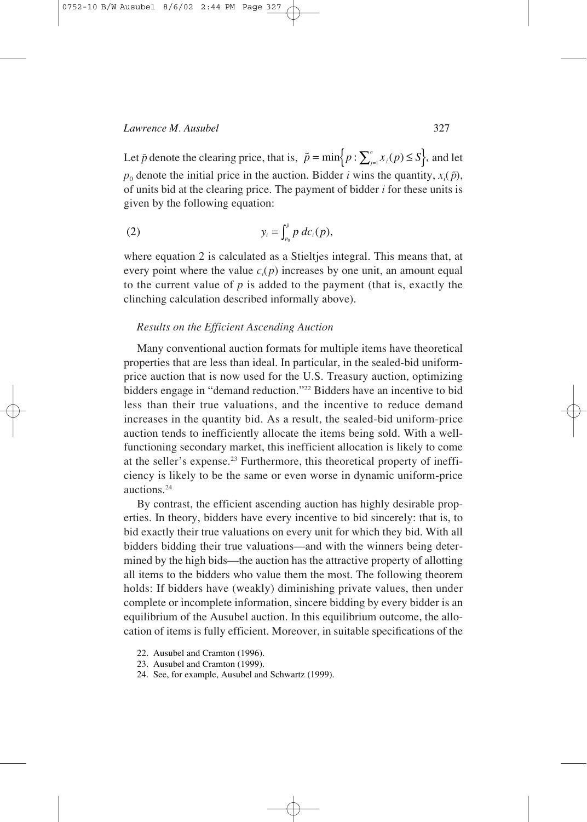Let  $\tilde{p}$  denote the clearing price, that is,  $\tilde{p} = \min\Big\{p : \sum_{j=1}^{n} x_j(p) \leq S\Big\}$ , and let  $p_0$  denote the initial price in the auction. Bidder *i* wins the quantity,  $x_i(\tilde{p})$ , of units bid at the clearing price. The payment of bidder *i* for these units is given by the following equation:

$$
(2) \t\t y_i = \int_{p_0}^{\tilde{p}} p \, dc_i(p),
$$

where equation 2 is calculated as a Stieltjes integral. This means that, at every point where the value  $c_i(p)$  increases by one unit, an amount equal to the current value of *p* is added to the payment (that is, exactly the clinching calculation described informally above).

#### *Results on the Efficient Ascending Auction*

Many conventional auction formats for multiple items have theoretical properties that are less than ideal. In particular, in the sealed-bid uniformprice auction that is now used for the U.S. Treasury auction, optimizing bidders engage in "demand reduction."22 Bidders have an incentive to bid less than their true valuations, and the incentive to reduce demand increases in the quantity bid. As a result, the sealed-bid uniform-price auction tends to inefficiently allocate the items being sold. With a wellfunctioning secondary market, this inefficient allocation is likely to come at the seller's expense.23 Furthermore, this theoretical property of inefficiency is likely to be the same or even worse in dynamic uniform-price auctions.24

By contrast, the efficient ascending auction has highly desirable properties. In theory, bidders have every incentive to bid sincerely: that is, to bid exactly their true valuations on every unit for which they bid. With all bidders bidding their true valuations—and with the winners being determined by the high bids—the auction has the attractive property of allotting all items to the bidders who value them the most. The following theorem holds: If bidders have (weakly) diminishing private values, then under complete or incomplete information, sincere bidding by every bidder is an equilibrium of the Ausubel auction. In this equilibrium outcome, the allocation of items is fully efficient. Moreover, in suitable specifications of the

- 22. Ausubel and Cramton (1996).
- 23. Ausubel and Cramton (1999).
- 24. See, for example, Ausubel and Schwartz (1999).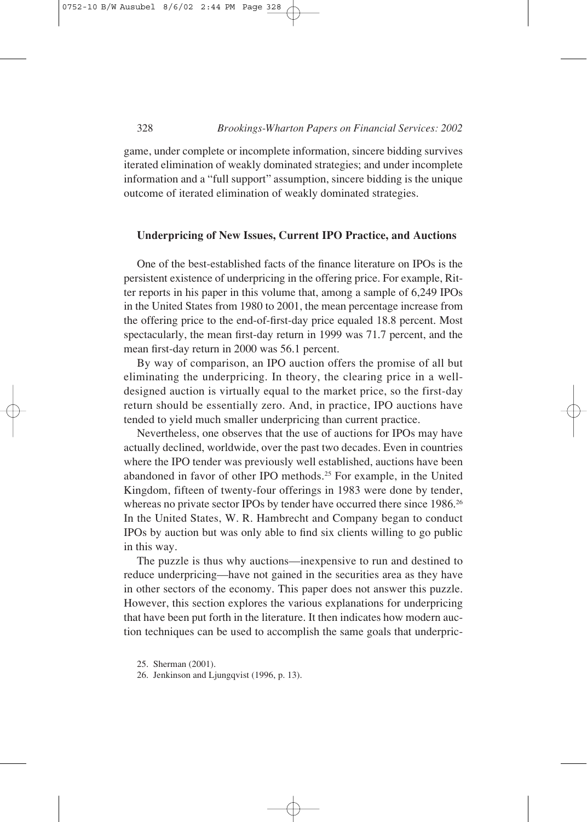game, under complete or incomplete information, sincere bidding survives iterated elimination of weakly dominated strategies; and under incomplete information and a "full support" assumption, sincere bidding is the unique outcome of iterated elimination of weakly dominated strategies.

#### **Underpricing of New Issues, Current IPO Practice, and Auctions**

One of the best-established facts of the finance literature on IPOs is the persistent existence of underpricing in the offering price. For example, Ritter reports in his paper in this volume that, among a sample of 6,249 IPOs in the United States from 1980 to 2001, the mean percentage increase from the offering price to the end-of-first-day price equaled 18.8 percent. Most spectacularly, the mean first-day return in 1999 was 71.7 percent, and the mean first-day return in 2000 was 56.1 percent.

By way of comparison, an IPO auction offers the promise of all but eliminating the underpricing. In theory, the clearing price in a welldesigned auction is virtually equal to the market price, so the first-day return should be essentially zero. And, in practice, IPO auctions have tended to yield much smaller underpricing than current practice.

Nevertheless, one observes that the use of auctions for IPOs may have actually declined, worldwide, over the past two decades. Even in countries where the IPO tender was previously well established, auctions have been abandoned in favor of other IPO methods.25 For example, in the United Kingdom, fifteen of twenty-four offerings in 1983 were done by tender, whereas no private sector IPOs by tender have occurred there since 1986.<sup>26</sup> In the United States, W. R. Hambrecht and Company began to conduct IPOs by auction but was only able to find six clients willing to go public in this way.

The puzzle is thus why auctions—inexpensive to run and destined to reduce underpricing—have not gained in the securities area as they have in other sectors of the economy. This paper does not answer this puzzle. However, this section explores the various explanations for underpricing that have been put forth in the literature. It then indicates how modern auction techniques can be used to accomplish the same goals that underpric-

<sup>25.</sup> Sherman (2001).

<sup>26.</sup> Jenkinson and Ljungqvist (1996, p. 13).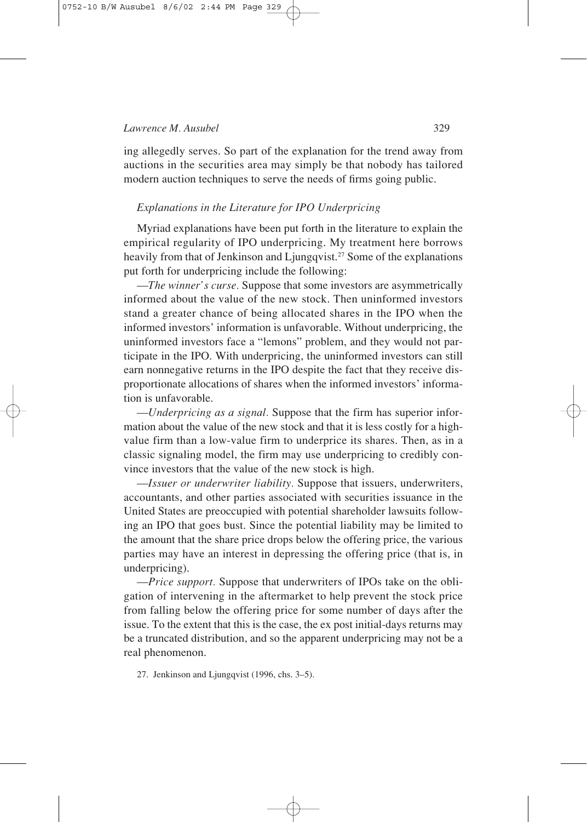ing allegedly serves. So part of the explanation for the trend away from auctions in the securities area may simply be that nobody has tailored modern auction techniques to serve the needs of firms going public.

#### *Explanations in the Literature for IPO Underpricing*

Myriad explanations have been put forth in the literature to explain the empirical regularity of IPO underpricing. My treatment here borrows heavily from that of Jenkinson and Ljungqvist.<sup>27</sup> Some of the explanations put forth for underpricing include the following:

—*The winner's curse.* Suppose that some investors are asymmetrically informed about the value of the new stock. Then uninformed investors stand a greater chance of being allocated shares in the IPO when the informed investors' information is unfavorable. Without underpricing, the uninformed investors face a "lemons" problem, and they would not participate in the IPO. With underpricing, the uninformed investors can still earn nonnegative returns in the IPO despite the fact that they receive disproportionate allocations of shares when the informed investors' information is unfavorable.

—*Underpricing as a signal.* Suppose that the firm has superior information about the value of the new stock and that it is less costly for a highvalue firm than a low-value firm to underprice its shares. Then, as in a classic signaling model, the firm may use underpricing to credibly convince investors that the value of the new stock is high.

—*Issuer or underwriter liability.* Suppose that issuers, underwriters, accountants, and other parties associated with securities issuance in the United States are preoccupied with potential shareholder lawsuits following an IPO that goes bust. Since the potential liability may be limited to the amount that the share price drops below the offering price, the various parties may have an interest in depressing the offering price (that is, in underpricing).

—*Price support.* Suppose that underwriters of IPOs take on the obligation of intervening in the aftermarket to help prevent the stock price from falling below the offering price for some number of days after the issue. To the extent that this is the case, the ex post initial-days returns may be a truncated distribution, and so the apparent underpricing may not be a real phenomenon.

27. Jenkinson and Ljungqvist (1996, chs. 3–5).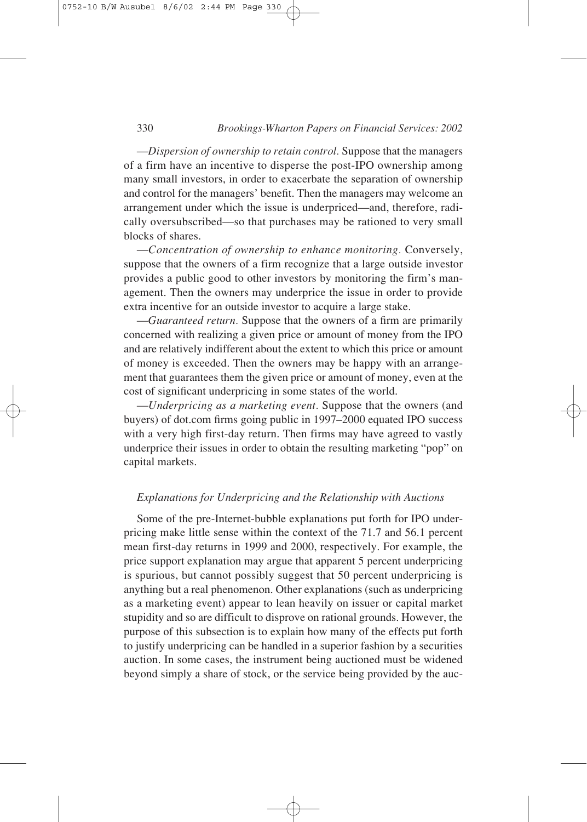—*Dispersion of ownership to retain control.* Suppose that the managers of a firm have an incentive to disperse the post-IPO ownership among many small investors, in order to exacerbate the separation of ownership and control for the managers' benefit. Then the managers may welcome an arrangement under which the issue is underpriced—and, therefore, radically oversubscribed—so that purchases may be rationed to very small blocks of shares.

—*Concentration of ownership to enhance monitoring.* Conversely, suppose that the owners of a firm recognize that a large outside investor provides a public good to other investors by monitoring the firm's management. Then the owners may underprice the issue in order to provide extra incentive for an outside investor to acquire a large stake.

—*Guaranteed return.* Suppose that the owners of a firm are primarily concerned with realizing a given price or amount of money from the IPO and are relatively indifferent about the extent to which this price or amount of money is exceeded. Then the owners may be happy with an arrangement that guarantees them the given price or amount of money, even at the cost of significant underpricing in some states of the world.

—*Underpricing as a marketing event.* Suppose that the owners (and buyers) of dot.com firms going public in 1997–2000 equated IPO success with a very high first-day return. Then firms may have agreed to vastly underprice their issues in order to obtain the resulting marketing "pop" on capital markets.

#### *Explanations for Underpricing and the Relationship with Auctions*

Some of the pre-Internet-bubble explanations put forth for IPO underpricing make little sense within the context of the 71.7 and 56.1 percent mean first-day returns in 1999 and 2000, respectively. For example, the price support explanation may argue that apparent 5 percent underpricing is spurious, but cannot possibly suggest that 50 percent underpricing is anything but a real phenomenon. Other explanations (such as underpricing as a marketing event) appear to lean heavily on issuer or capital market stupidity and so are difficult to disprove on rational grounds. However, the purpose of this subsection is to explain how many of the effects put forth to justify underpricing can be handled in a superior fashion by a securities auction. In some cases, the instrument being auctioned must be widened beyond simply a share of stock, or the service being provided by the auc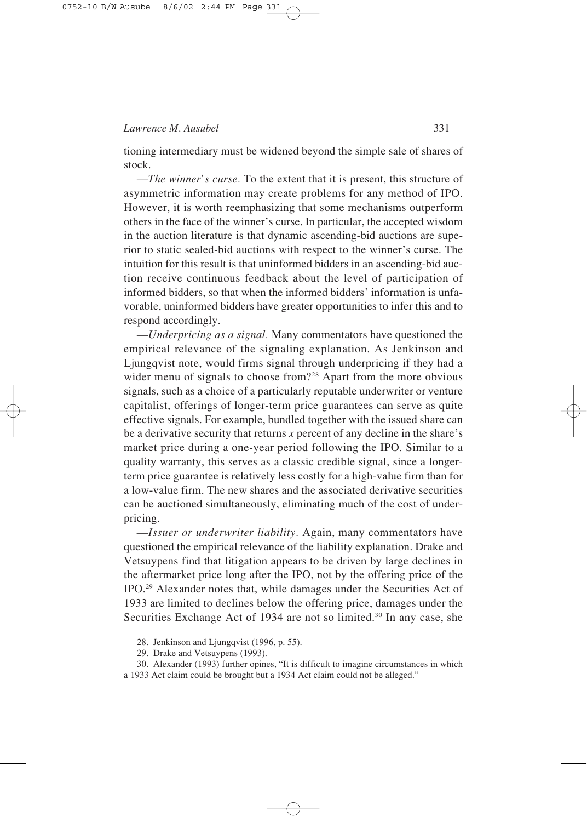tioning intermediary must be widened beyond the simple sale of shares of stock.

—*The winner's curse.* To the extent that it is present, this structure of asymmetric information may create problems for any method of IPO. However, it is worth reemphasizing that some mechanisms outperform others in the face of the winner's curse. In particular, the accepted wisdom in the auction literature is that dynamic ascending-bid auctions are superior to static sealed-bid auctions with respect to the winner's curse. The intuition for this result is that uninformed bidders in an ascending-bid auction receive continuous feedback about the level of participation of informed bidders, so that when the informed bidders' information is unfavorable, uninformed bidders have greater opportunities to infer this and to respond accordingly.

—*Underpricing as a signal.* Many commentators have questioned the empirical relevance of the signaling explanation. As Jenkinson and Ljungqvist note, would firms signal through underpricing if they had a wider menu of signals to choose from?<sup>28</sup> Apart from the more obvious signals, such as a choice of a particularly reputable underwriter or venture capitalist, offerings of longer-term price guarantees can serve as quite effective signals. For example, bundled together with the issued share can be a derivative security that returns *x* percent of any decline in the share's market price during a one-year period following the IPO. Similar to a quality warranty, this serves as a classic credible signal, since a longerterm price guarantee is relatively less costly for a high-value firm than for a low-value firm. The new shares and the associated derivative securities can be auctioned simultaneously, eliminating much of the cost of underpricing.

—*Issuer or underwriter liability.* Again, many commentators have questioned the empirical relevance of the liability explanation. Drake and Vetsuypens find that litigation appears to be driven by large declines in the aftermarket price long after the IPO, not by the offering price of the IPO.29 Alexander notes that, while damages under the Securities Act of 1933 are limited to declines below the offering price, damages under the Securities Exchange Act of 1934 are not so limited.<sup>30</sup> In any case, she

- 28. Jenkinson and Ljungqvist (1996, p. 55).
- 29. Drake and Vetsuypens (1993).

30. Alexander (1993) further opines, "It is difficult to imagine circumstances in which a 1933 Act claim could be brought but a 1934 Act claim could not be alleged."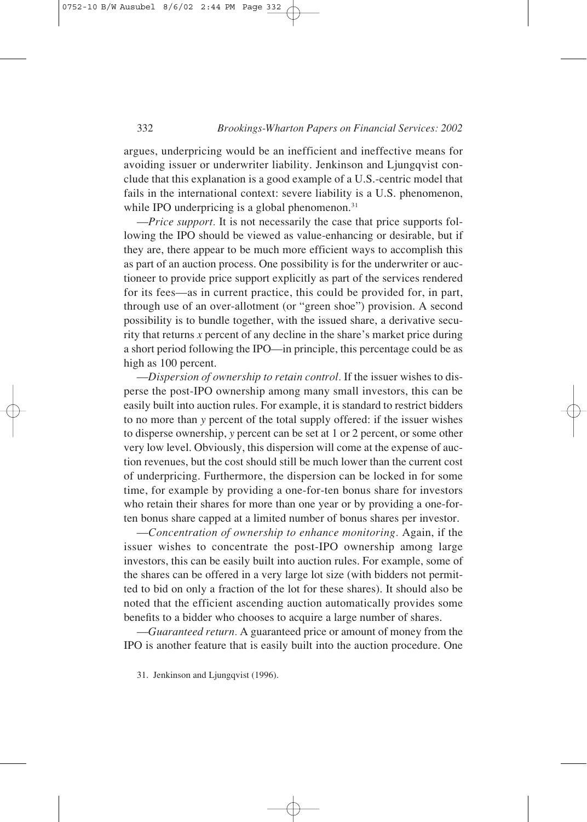argues, underpricing would be an inefficient and ineffective means for avoiding issuer or underwriter liability. Jenkinson and Ljungqvist conclude that this explanation is a good example of a U.S.-centric model that fails in the international context: severe liability is a U.S. phenomenon, while IPO underpricing is a global phenomenon. $31$ 

—*Price support.* It is not necessarily the case that price supports following the IPO should be viewed as value-enhancing or desirable, but if they are, there appear to be much more efficient ways to accomplish this as part of an auction process. One possibility is for the underwriter or auctioneer to provide price support explicitly as part of the services rendered for its fees—as in current practice, this could be provided for, in part, through use of an over-allotment (or "green shoe") provision. A second possibility is to bundle together, with the issued share, a derivative security that returns *x* percent of any decline in the share's market price during a short period following the IPO—in principle, this percentage could be as high as 100 percent.

—*Dispersion of ownership to retain control.* If the issuer wishes to disperse the post-IPO ownership among many small investors, this can be easily built into auction rules. For example, it is standard to restrict bidders to no more than *y* percent of the total supply offered: if the issuer wishes to disperse ownership, *y* percent can be set at 1 or 2 percent, or some other very low level. Obviously, this dispersion will come at the expense of auction revenues, but the cost should still be much lower than the current cost of underpricing. Furthermore, the dispersion can be locked in for some time, for example by providing a one-for-ten bonus share for investors who retain their shares for more than one year or by providing a one-forten bonus share capped at a limited number of bonus shares per investor.

—*Concentration of ownership to enhance monitoring.* Again, if the issuer wishes to concentrate the post-IPO ownership among large investors, this can be easily built into auction rules. For example, some of the shares can be offered in a very large lot size (with bidders not permitted to bid on only a fraction of the lot for these shares). It should also be noted that the efficient ascending auction automatically provides some benefits to a bidder who chooses to acquire a large number of shares.

—*Guaranteed return.* A guaranteed price or amount of money from the IPO is another feature that is easily built into the auction procedure. One

<sup>31.</sup> Jenkinson and Ljungqvist (1996).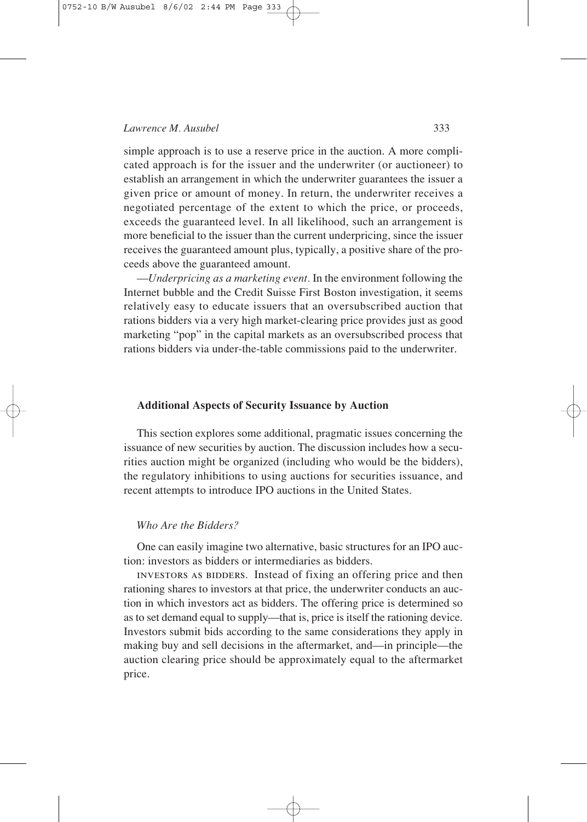simple approach is to use a reserve price in the auction. A more complicated approach is for the issuer and the underwriter (or auctioneer) to establish an arrangement in which the underwriter guarantees the issuer a given price or amount of money. In return, the underwriter receives a negotiated percentage of the extent to which the price, or proceeds, exceeds the guaranteed level. In all likelihood, such an arrangement is more beneficial to the issuer than the current underpricing, since the issuer receives the guaranteed amount plus, typically, a positive share of the proceeds above the guaranteed amount.

—*Underpricing as a marketing event.* In the environment following the Internet bubble and the Credit Suisse First Boston investigation, it seems relatively easy to educate issuers that an oversubscribed auction that rations bidders via a very high market-clearing price provides just as good marketing "pop" in the capital markets as an oversubscribed process that rations bidders via under-the-table commissions paid to the underwriter.

#### **Additional Aspects of Security Issuance by Auction**

This section explores some additional, pragmatic issues concerning the issuance of new securities by auction. The discussion includes how a securities auction might be organized (including who would be the bidders), the regulatory inhibitions to using auctions for securities issuance, and recent attempts to introduce IPO auctions in the United States.

#### *Who Are the Bidders?*

One can easily imagine two alternative, basic structures for an IPO auction: investors as bidders or intermediaries as bidders.

INVESTORS AS BIDDERS. Instead of fixing an offering price and then rationing shares to investors at that price, the underwriter conducts an auction in which investors act as bidders. The offering price is determined so as to set demand equal to supply—that is, price is itself the rationing device. Investors submit bids according to the same considerations they apply in making buy and sell decisions in the aftermarket, and—in principle—the auction clearing price should be approximately equal to the aftermarket price.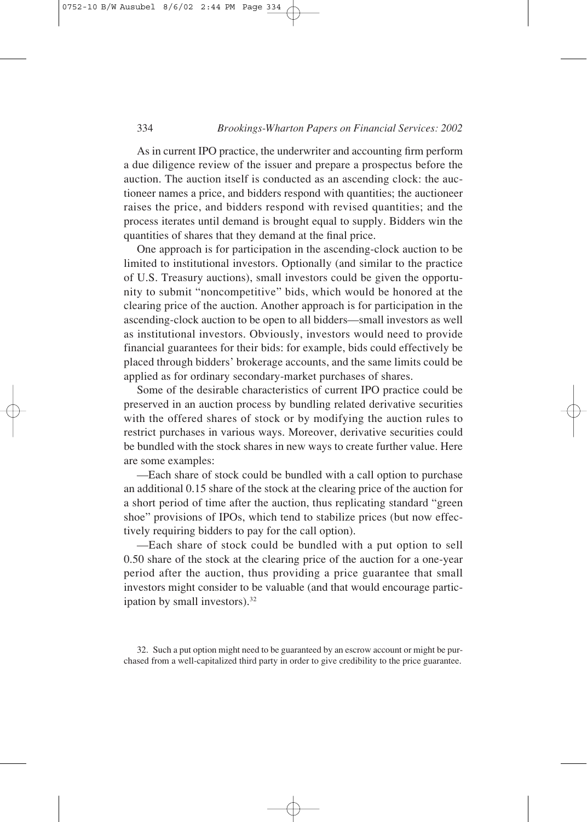As in current IPO practice, the underwriter and accounting firm perform a due diligence review of the issuer and prepare a prospectus before the auction. The auction itself is conducted as an ascending clock: the auctioneer names a price, and bidders respond with quantities; the auctioneer raises the price, and bidders respond with revised quantities; and the process iterates until demand is brought equal to supply. Bidders win the quantities of shares that they demand at the final price.

One approach is for participation in the ascending-clock auction to be limited to institutional investors. Optionally (and similar to the practice of U.S. Treasury auctions), small investors could be given the opportunity to submit "noncompetitive" bids, which would be honored at the clearing price of the auction. Another approach is for participation in the ascending-clock auction to be open to all bidders—small investors as well as institutional investors. Obviously, investors would need to provide financial guarantees for their bids: for example, bids could effectively be placed through bidders' brokerage accounts, and the same limits could be applied as for ordinary secondary-market purchases of shares.

Some of the desirable characteristics of current IPO practice could be preserved in an auction process by bundling related derivative securities with the offered shares of stock or by modifying the auction rules to restrict purchases in various ways. Moreover, derivative securities could be bundled with the stock shares in new ways to create further value. Here are some examples:

—Each share of stock could be bundled with a call option to purchase an additional 0.15 share of the stock at the clearing price of the auction for a short period of time after the auction, thus replicating standard "green shoe" provisions of IPOs, which tend to stabilize prices (but now effectively requiring bidders to pay for the call option).

—Each share of stock could be bundled with a put option to sell 0.50 share of the stock at the clearing price of the auction for a one-year period after the auction, thus providing a price guarantee that small investors might consider to be valuable (and that would encourage participation by small investors).32

32. Such a put option might need to be guaranteed by an escrow account or might be purchased from a well-capitalized third party in order to give credibility to the price guarantee.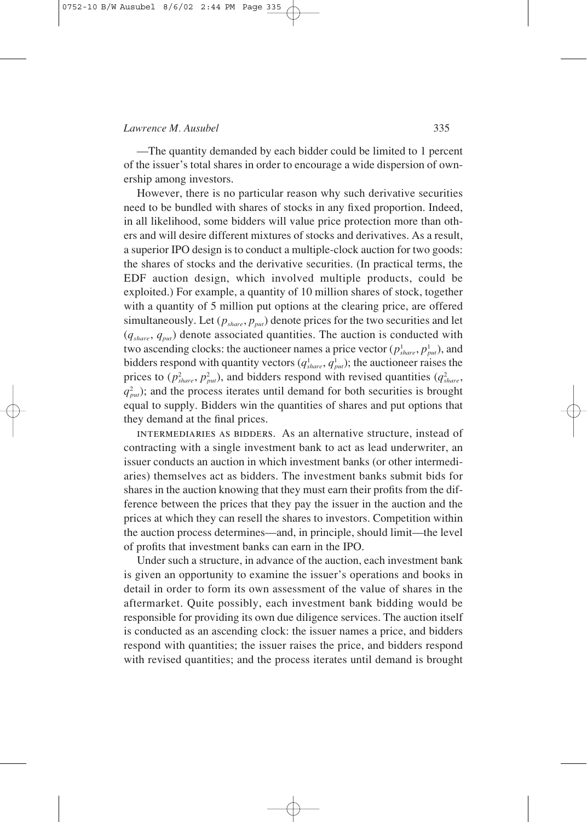—The quantity demanded by each bidder could be limited to 1 percent of the issuer's total shares in order to encourage a wide dispersion of ownership among investors.

However, there is no particular reason why such derivative securities need to be bundled with shares of stocks in any fixed proportion. Indeed, in all likelihood, some bidders will value price protection more than others and will desire different mixtures of stocks and derivatives. As a result, a superior IPO design is to conduct a multiple-clock auction for two goods: the shares of stocks and the derivative securities. (In practical terms, the EDF auction design, which involved multiple products, could be exploited.) For example, a quantity of 10 million shares of stock, together with a quantity of 5 million put options at the clearing price, are offered simultaneously. Let  $(p_{share}, p_{put})$  denote prices for the two securities and let (*qshare*, *qput*) denote associated quantities. The auction is conducted with two ascending clocks: the auctioneer names a price vector  $(p_{\textit{share}}^1, p_{\textit{put}}^1)$ , and bidders respond with quantity vectors  $(q_{\textit{share}}^1, q_{\textit{put}}^1)$ ; the auctioneer raises the prices to  $(p_{\textit{share}}^2, p_{\textit{put}}^2)$ , and bidders respond with revised quantities  $(q_{\textit{share}}^2,$  $q_{\textit{put}}^2$ ); and the process iterates until demand for both securities is brought equal to supply. Bidders win the quantities of shares and put options that they demand at the final prices.

INTERMEDIARIES AS BIDDERS. As an alternative structure, instead of contracting with a single investment bank to act as lead underwriter, an issuer conducts an auction in which investment banks (or other intermediaries) themselves act as bidders. The investment banks submit bids for shares in the auction knowing that they must earn their profits from the difference between the prices that they pay the issuer in the auction and the prices at which they can resell the shares to investors. Competition within the auction process determines—and, in principle, should limit—the level of profits that investment banks can earn in the IPO.

Under such a structure, in advance of the auction, each investment bank is given an opportunity to examine the issuer's operations and books in detail in order to form its own assessment of the value of shares in the aftermarket. Quite possibly, each investment bank bidding would be responsible for providing its own due diligence services. The auction itself is conducted as an ascending clock: the issuer names a price, and bidders respond with quantities; the issuer raises the price, and bidders respond with revised quantities; and the process iterates until demand is brought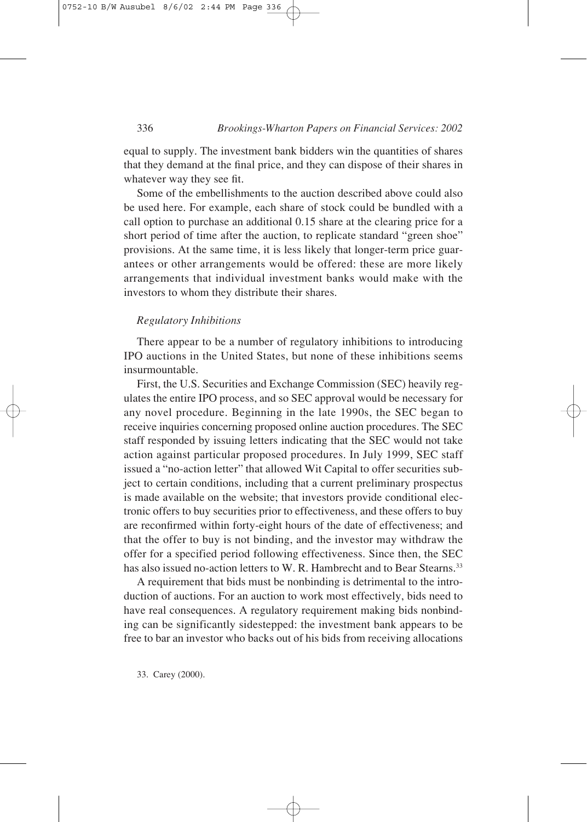equal to supply. The investment bank bidders win the quantities of shares that they demand at the final price, and they can dispose of their shares in whatever way they see fit.

Some of the embellishments to the auction described above could also be used here. For example, each share of stock could be bundled with a call option to purchase an additional 0.15 share at the clearing price for a short period of time after the auction, to replicate standard "green shoe" provisions. At the same time, it is less likely that longer-term price guarantees or other arrangements would be offered: these are more likely arrangements that individual investment banks would make with the investors to whom they distribute their shares.

#### *Regulatory Inhibitions*

There appear to be a number of regulatory inhibitions to introducing IPO auctions in the United States, but none of these inhibitions seems insurmountable.

First, the U.S. Securities and Exchange Commission (SEC) heavily regulates the entire IPO process, and so SEC approval would be necessary for any novel procedure. Beginning in the late 1990s, the SEC began to receive inquiries concerning proposed online auction procedures. The SEC staff responded by issuing letters indicating that the SEC would not take action against particular proposed procedures. In July 1999, SEC staff issued a "no-action letter" that allowed Wit Capital to offer securities subject to certain conditions, including that a current preliminary prospectus is made available on the website; that investors provide conditional electronic offers to buy securities prior to effectiveness, and these offers to buy are reconfirmed within forty-eight hours of the date of effectiveness; and that the offer to buy is not binding, and the investor may withdraw the offer for a specified period following effectiveness. Since then, the SEC has also issued no-action letters to W. R. Hambrecht and to Bear Stearns.<sup>33</sup>

A requirement that bids must be nonbinding is detrimental to the introduction of auctions. For an auction to work most effectively, bids need to have real consequences. A regulatory requirement making bids nonbinding can be significantly sidestepped: the investment bank appears to be free to bar an investor who backs out of his bids from receiving allocations

33. Carey (2000).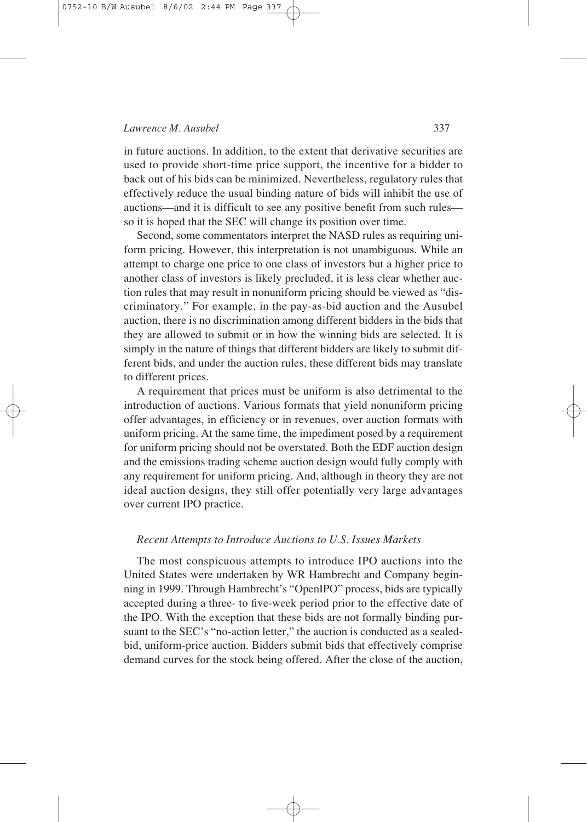in future auctions. In addition, to the extent that derivative securities are used to provide short-time price support, the incentive for a bidder to back out of his bids can be minimized. Nevertheless, regulatory rules that effectively reduce the usual binding nature of bids will inhibit the use of auctions—and it is difficult to see any positive benefit from such rules so it is hoped that the SEC will change its position over time.

Second, some commentators interpret the NASD rules as requiring uniform pricing. However, this interpretation is not unambiguous. While an attempt to charge one price to one class of investors but a higher price to another class of investors is likely precluded, it is less clear whether auction rules that may result in nonuniform pricing should be viewed as "discriminatory." For example, in the pay-as-bid auction and the Ausubel auction, there is no discrimination among different bidders in the bids that they are allowed to submit or in how the winning bids are selected. It is simply in the nature of things that different bidders are likely to submit different bids, and under the auction rules, these different bids may translate to different prices.

A requirement that prices must be uniform is also detrimental to the introduction of auctions. Various formats that yield nonuniform pricing offer advantages, in efficiency or in revenues, over auction formats with uniform pricing. At the same time, the impediment posed by a requirement for uniform pricing should not be overstated. Both the EDF auction design and the emissions trading scheme auction design would fully comply with any requirement for uniform pricing. And, although in theory they are not ideal auction designs, they still offer potentially very large advantages over current IPO practice.

# *Recent Attempts to Introduce Auctions to U.S. Issues Markets*

The most conspicuous attempts to introduce IPO auctions into the United States were undertaken by WR Hambrecht and Company beginning in 1999. Through Hambrecht's "OpenIPO" process, bids are typically accepted during a three- to five-week period prior to the effective date of the IPO. With the exception that these bids are not formally binding pursuant to the SEC's "no-action letter," the auction is conducted as a sealedbid, uniform-price auction. Bidders submit bids that effectively comprise demand curves for the stock being offered. After the close of the auction,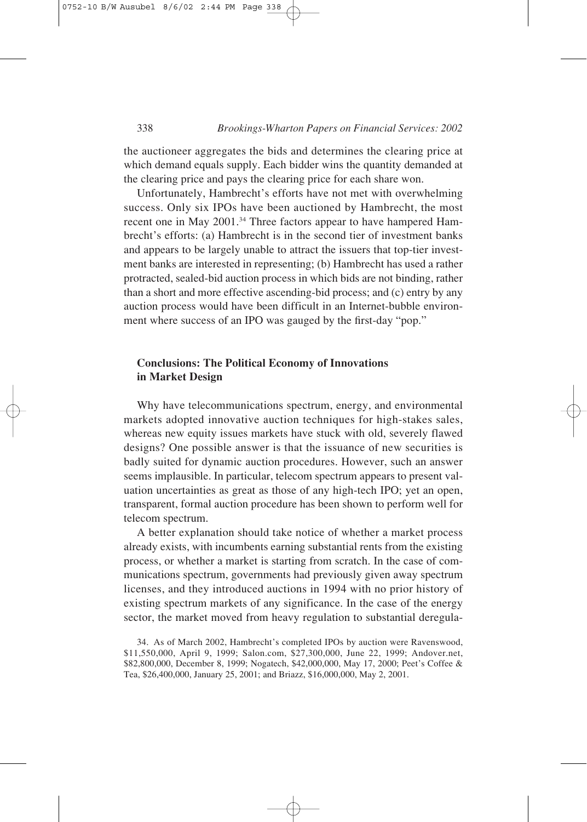the auctioneer aggregates the bids and determines the clearing price at which demand equals supply. Each bidder wins the quantity demanded at the clearing price and pays the clearing price for each share won.

Unfortunately, Hambrecht's efforts have not met with overwhelming success. Only six IPOs have been auctioned by Hambrecht, the most recent one in May 2001.<sup>34</sup> Three factors appear to have hampered Hambrecht's efforts: (a) Hambrecht is in the second tier of investment banks and appears to be largely unable to attract the issuers that top-tier investment banks are interested in representing; (b) Hambrecht has used a rather protracted, sealed-bid auction process in which bids are not binding, rather than a short and more effective ascending-bid process; and (c) entry by any auction process would have been difficult in an Internet-bubble environment where success of an IPO was gauged by the first-day "pop."

# **Conclusions: The Political Economy of Innovations in Market Design**

Why have telecommunications spectrum, energy, and environmental markets adopted innovative auction techniques for high-stakes sales, whereas new equity issues markets have stuck with old, severely flawed designs? One possible answer is that the issuance of new securities is badly suited for dynamic auction procedures. However, such an answer seems implausible. In particular, telecom spectrum appears to present valuation uncertainties as great as those of any high-tech IPO; yet an open, transparent, formal auction procedure has been shown to perform well for telecom spectrum.

A better explanation should take notice of whether a market process already exists, with incumbents earning substantial rents from the existing process, or whether a market is starting from scratch. In the case of communications spectrum, governments had previously given away spectrum licenses, and they introduced auctions in 1994 with no prior history of existing spectrum markets of any significance. In the case of the energy sector, the market moved from heavy regulation to substantial deregula-

<sup>34.</sup> As of March 2002, Hambrecht's completed IPOs by auction were Ravenswood, \$11,550,000, April 9, 1999; Salon.com, \$27,300,000, June 22, 1999; Andover.net, \$82,800,000, December 8, 1999; Nogatech, \$42,000,000, May 17, 2000; Peet's Coffee & Tea, \$26,400,000, January 25, 2001; and Briazz, \$16,000,000, May 2, 2001.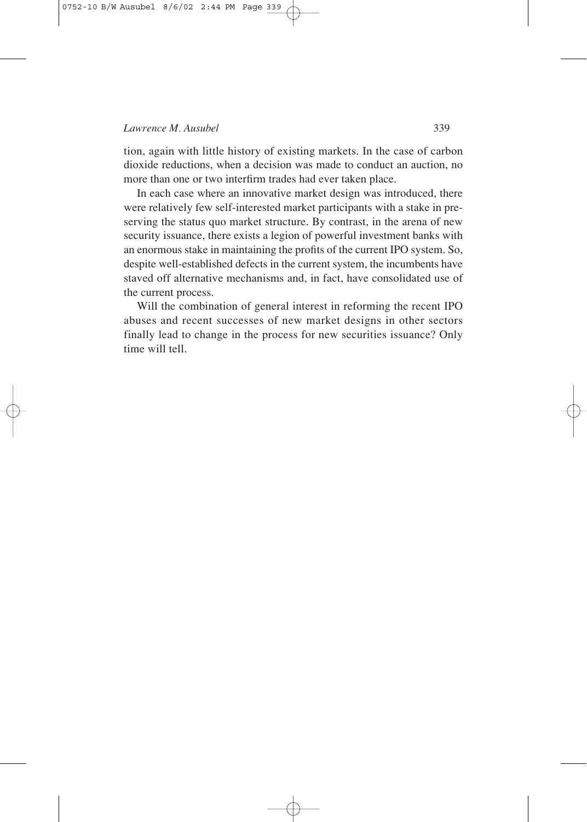tion, again with little history of existing markets. In the case of carbon dioxide reductions, when a decision was made to conduct an auction, no more than one or two interfirm trades had ever taken place.

In each case where an innovative market design was introduced, there were relatively few self-interested market participants with a stake in preserving the status quo market structure. By contrast, in the arena of new security issuance, there exists a legion of powerful investment banks with an enormous stake in maintaining the profits of the current IPO system. So, despite well-established defects in the current system, the incumbents have staved off alternative mechanisms and, in fact, have consolidated use of the current process.

Will the combination of general interest in reforming the recent IPO abuses and recent successes of new market designs in other sectors finally lead to change in the process for new securities issuance? Only time will tell.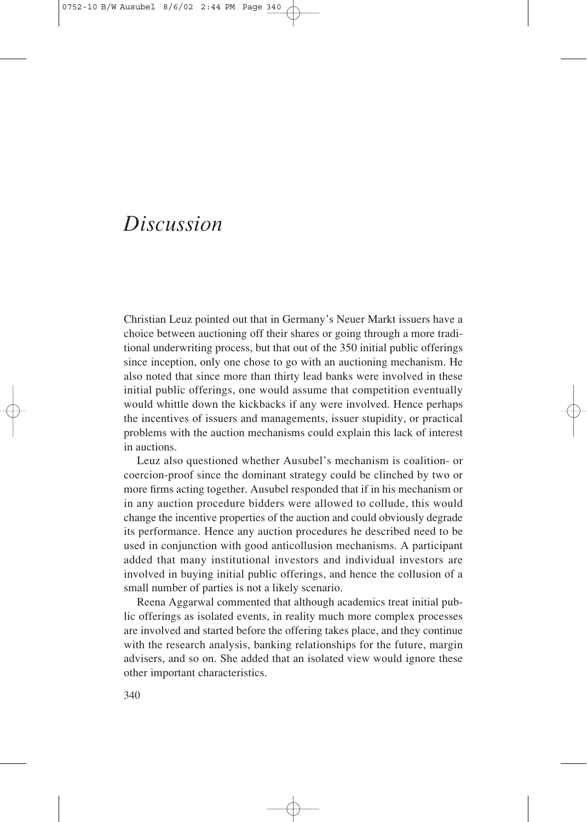# *Discussion*

Christian Leuz pointed out that in Germany's Neuer Markt issuers have a choice between auctioning off their shares or going through a more traditional underwriting process, but that out of the 350 initial public offerings since inception, only one chose to go with an auctioning mechanism. He also noted that since more than thirty lead banks were involved in these initial public offerings, one would assume that competition eventually would whittle down the kickbacks if any were involved. Hence perhaps the incentives of issuers and managements, issuer stupidity, or practical problems with the auction mechanisms could explain this lack of interest in auctions.

Leuz also questioned whether Ausubel's mechanism is coalition- or coercion-proof since the dominant strategy could be clinched by two or more firms acting together. Ausubel responded that if in his mechanism or in any auction procedure bidders were allowed to collude, this would change the incentive properties of the auction and could obviously degrade its performance. Hence any auction procedures he described need to be used in conjunction with good anticollusion mechanisms. A participant added that many institutional investors and individual investors are involved in buying initial public offerings, and hence the collusion of a small number of parties is not a likely scenario.

Reena Aggarwal commented that although academics treat initial public offerings as isolated events, in reality much more complex processes are involved and started before the offering takes place, and they continue with the research analysis, banking relationships for the future, margin advisers, and so on. She added that an isolated view would ignore these other important characteristics.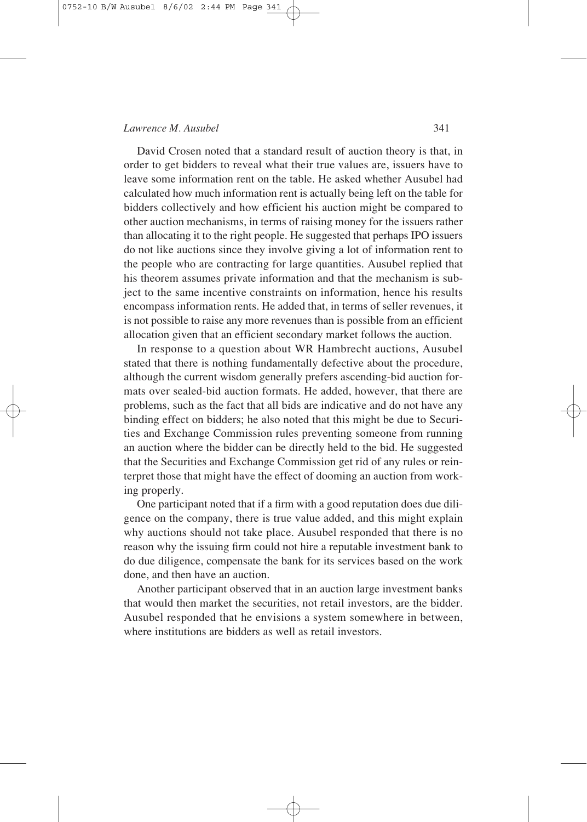#### *Lawrence M. Ausubel* 341

David Crosen noted that a standard result of auction theory is that, in order to get bidders to reveal what their true values are, issuers have to leave some information rent on the table. He asked whether Ausubel had calculated how much information rent is actually being left on the table for bidders collectively and how efficient his auction might be compared to other auction mechanisms, in terms of raising money for the issuers rather than allocating it to the right people. He suggested that perhaps IPO issuers do not like auctions since they involve giving a lot of information rent to the people who are contracting for large quantities. Ausubel replied that his theorem assumes private information and that the mechanism is subject to the same incentive constraints on information, hence his results encompass information rents. He added that, in terms of seller revenues, it is not possible to raise any more revenues than is possible from an efficient allocation given that an efficient secondary market follows the auction.

In response to a question about WR Hambrecht auctions, Ausubel stated that there is nothing fundamentally defective about the procedure, although the current wisdom generally prefers ascending-bid auction formats over sealed-bid auction formats. He added, however, that there are problems, such as the fact that all bids are indicative and do not have any binding effect on bidders; he also noted that this might be due to Securities and Exchange Commission rules preventing someone from running an auction where the bidder can be directly held to the bid. He suggested that the Securities and Exchange Commission get rid of any rules or reinterpret those that might have the effect of dooming an auction from working properly.

One participant noted that if a firm with a good reputation does due diligence on the company, there is true value added, and this might explain why auctions should not take place. Ausubel responded that there is no reason why the issuing firm could not hire a reputable investment bank to do due diligence, compensate the bank for its services based on the work done, and then have an auction.

Another participant observed that in an auction large investment banks that would then market the securities, not retail investors, are the bidder. Ausubel responded that he envisions a system somewhere in between, where institutions are bidders as well as retail investors.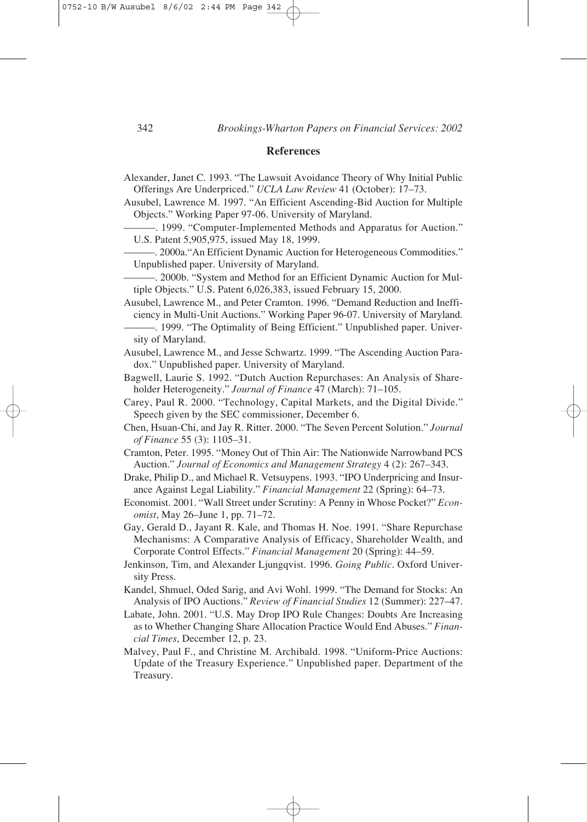#### **References**

- Alexander, Janet C. 1993. "The Lawsuit Avoidance Theory of Why Initial Public Offerings Are Underpriced." *UCLA Law Review* 41 (October): 17–73.
- Ausubel, Lawrence M. 1997. "An Efficient Ascending-Bid Auction for Multiple Objects." Working Paper 97-06. University of Maryland.
	- ———. 1999. "Computer-Implemented Methods and Apparatus for Auction." U.S. Patent 5,905,975, issued May 18, 1999.
	- ———. 2000a."An Efficient Dynamic Auction for Heterogeneous Commodities." Unpublished paper. University of Maryland.
	- ———. 2000b. "System and Method for an Efficient Dynamic Auction for Multiple Objects." U.S. Patent 6,026,383, issued February 15, 2000.
- Ausubel, Lawrence M., and Peter Cramton. 1996. "Demand Reduction and Inefficiency in Multi-Unit Auctions." Working Paper 96-07. University of Maryland. ———. 1999. "The Optimality of Being Efficient." Unpublished paper. University of Maryland.
- Ausubel, Lawrence M., and Jesse Schwartz. 1999. "The Ascending Auction Paradox." Unpublished paper. University of Maryland.
- Bagwell, Laurie S. 1992. "Dutch Auction Repurchases: An Analysis of Shareholder Heterogeneity." *Journal of Finance* 47 (March): 71–105.
- Carey, Paul R. 2000. "Technology, Capital Markets, and the Digital Divide." Speech given by the SEC commissioner, December 6.
- Chen, Hsuan-Chi, and Jay R. Ritter. 2000. "The Seven Percent Solution." *Journal of Finance* 55 (3): 1105–31.
- Cramton, Peter. 1995. "Money Out of Thin Air: The Nationwide Narrowband PCS Auction." *Journal of Economics and Management Strategy* 4 (2): 267–343.
- Drake, Philip D., and Michael R. Vetsuypens. 1993. "IPO Underpricing and Insurance Against Legal Liability." *Financial Management* 22 (Spring): 64–73.
- Economist. 2001. "Wall Street under Scrutiny: A Penny in Whose Pocket?" *Economist*, May 26–June 1, pp. 71–72.
- Gay, Gerald D., Jayant R. Kale, and Thomas H. Noe. 1991. "Share Repurchase Mechanisms: A Comparative Analysis of Efficacy, Shareholder Wealth, and Corporate Control Effects." *Financial Management* 20 (Spring): 44–59.
- Jenkinson, Tim, and Alexander Ljungqvist. 1996. *Going Public*. Oxford University Press.
- Kandel, Shmuel, Oded Sarig, and Avi Wohl. 1999. "The Demand for Stocks: An Analysis of IPO Auctions." *Review of Financial Studies* 12 (Summer): 227–47.
- Labate, John. 2001. "U.S. May Drop IPO Rule Changes: Doubts Are Increasing as to Whether Changing Share Allocation Practice Would End Abuses." *Financial Times*, December 12, p. 23.
- Malvey, Paul F., and Christine M. Archibald. 1998. "Uniform-Price Auctions: Update of the Treasury Experience." Unpublished paper. Department of the Treasury.